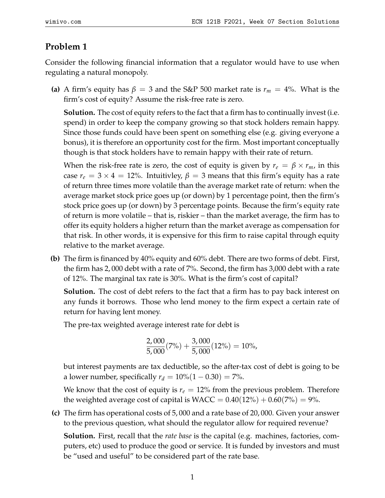## **Problem 1**

Consider the following financial information that a regulator would have to use when regulating a natural monopoly.

**(a)** A firm's equity has  $\beta = 3$  and the S&P 500 market rate is  $r_m = 4\%$ . What is the firm's cost of equity? Assume the risk-free rate is zero.

**Solution.** The cost of equity refers to the fact that a firm has to continually invest (i.e. spend) in order to keep the company growing so that stock holders remain happy. Since those funds could have been spent on something else (e.g. giving everyone a bonus), it is therefore an opportunity cost for the firm. Most important conceptually though is that stock holders have to remain happy with their rate of return.

When the risk-free rate is zero, the cost of equity is given by  $r_e = \beta \times r_m$ , in this case  $r_e = 3 \times 4 = 12\%$ . Intuitivley,  $\beta = 3$  means that this firm's equity has a rate of return three times more volatile than the average market rate of return: when the average market stock price goes up (or down) by 1 percentage point, then the firm's stock price goes up (or down) by 3 percentage points. Because the firm's equity rate of return is more volatile – that is, riskier – than the market average, the firm has to offer its equity holders a higher return than the market average as compensation for that risk. In other words, it is expensive for this firm to raise capital through equity relative to the market average.

**(b)** The firm is financed by 40% equity and 60% debt. There are two forms of debt. First, the firm has 2, 000 debt with a rate of 7%. Second, the firm has 3,000 debt with a rate of 12%. The marginal tax rate is 30%. What is the firm's cost of capital?

**Solution.** The cost of debt refers to the fact that a firm has to pay back interest on any funds it borrows. Those who lend money to the firm expect a certain rate of return for having lent money.

The pre-tax weighted average interest rate for debt is

$$
\frac{2,000}{5,000}(7\%) + \frac{3,000}{5,000}(12\%) = 10\%,
$$

but interest payments are tax deductible, so the after-tax cost of debt is going to be a lower number, specifically  $r_d = 10\%(1 - 0.30) = 7\%$ .

We know that the cost of equity is  $r_e = 12\%$  from the previous problem. Therefore the weighted average cost of capital is  $WACC = 0.40(12%) + 0.60(7%) = 9%.$ 

**(c)** The firm has operational costs of 5, 000 and a rate base of 20, 000. Given your answer to the previous question, what should the regulator allow for required revenue?

**Solution.** First, recall that the *rate base* is the capital (e.g. machines, factories, computers, etc) used to produce the good or service. It is funded by investors and must be "used and useful" to be considered part of the rate base.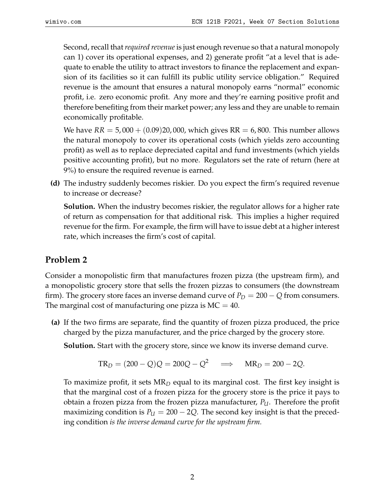Second, recall that*required revenue*is just enough revenue so that a natural monopoly can 1) cover its operational expenses, and 2) generate profit "at a level that is adequate to enable the utility to attract investors to finance the replacement and expansion of its facilities so it can fulfill its public utility service obligation." Required revenue is the amount that ensures a natural monopoly earns "normal" economic profit, i.e. zero economic profit. Any more and they're earning positive profit and therefore benefiting from their market power; any less and they are unable to remain economically profitable.

We have  $RR = 5,000 + (0.09)20,000$ , which gives  $RR = 6,800$ . This number allows the natural monopoly to cover its operational costs (which yields zero accounting profit) as well as to replace depreciated capital and fund investments (which yields positive accounting profit), but no more. Regulators set the rate of return (here at 9%) to ensure the required revenue is earned.

**(d)** The industry suddenly becomes riskier. Do you expect the firm's required revenue to increase or decrease?

**Solution.** When the industry becomes riskier, the regulator allows for a higher rate of return as compensation for that additional risk. This implies a higher required revenue for the firm. For example, the firm will have to issue debt at a higher interest rate, which increases the firm's cost of capital.

## **Problem 2**

Consider a monopolistic firm that manufactures frozen pizza (the upstream firm), and a monopolistic grocery store that sells the frozen pizzas to consumers (the downstream firm). The grocery store faces an inverse demand curve of  $P_D = 200 - Q$  from consumers. The marginal cost of manufacturing one pizza is  $MC = 40$ .

**(a)** If the two firms are separate, find the quantity of frozen pizza produced, the price charged by the pizza manufacturer, and the price charged by the grocery store.

**Solution.** Start with the grocery store, since we know its inverse demand curve.

$$
TR_D = (200 - Q)Q = 200Q - Q^2 \implies MR_D = 200 - 2Q.
$$

To maximize profit, it sets MR*<sup>D</sup>* equal to its marginal cost. The first key insight is that the marginal cost of a frozen pizza for the grocery store is the price it pays to obtain a frozen pizza from the frozen pizza manufacturer, *PU*. Therefore the profit maximizing condition is  $P_U = 200 - 2Q$ . The second key insight is that the preceding condition *is the inverse demand curve for the upstream firm.*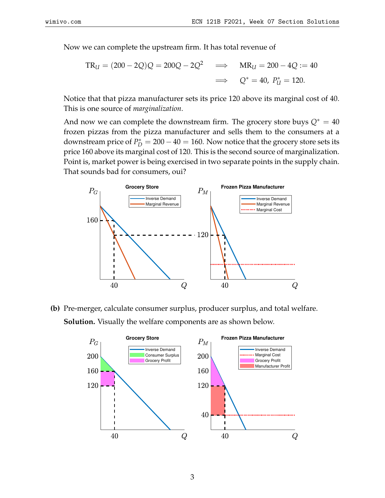Now we can complete the upstream firm. It has total revenue of

$$
TR_U = (200 - 2Q)Q = 200Q - 2Q^2 \implies MR_U = 200 - 4Q := 40
$$
  

$$
\implies Q^* = 40, P^*_U = 120.
$$

Notice that that pizza manufacturer sets its price 120 above its marginal cost of 40. This is one source of *marginalization*.

And now we can complete the downstream firm. The grocery store buys  $Q^* = 40$ frozen pizzas from the pizza manufacturer and sells them to the consumers at a downstream price of  $P_D^* = 200 - 40 = 160$ . Now notice that the grocery store sets its price 160 above its marginal cost of 120. This is the second source of marginalization. Point is, market power is being exercised in two separate points in the supply chain. That sounds bad for consumers, oui?



**(b)** Pre-merger, calculate consumer surplus, producer surplus, and total welfare. **Solution.** Visually the welfare components are as shown below.

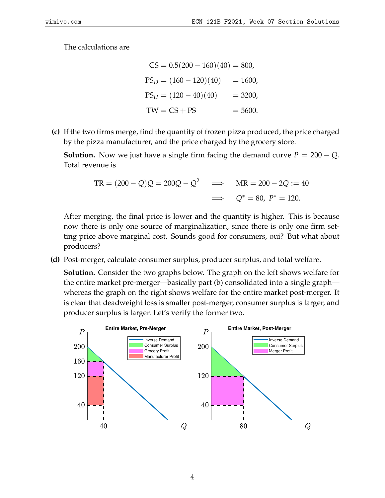The calculations are

$$
CS = 0.5(200 - 160)(40) = 800,
$$
  
\n
$$
PS_D = (160 - 120)(40) = 1600,
$$
  
\n
$$
PS_U = (120 - 40)(40) = 3200,
$$
  
\n
$$
TW = CS + PS = 5600.
$$

**(c)** If the two firms merge, find the quantity of frozen pizza produced, the price charged by the pizza manufacturer, and the price charged by the grocery store.

**Solution.** Now we just have a single firm facing the demand curve  $P = 200 - Q$ . Total revenue is

$$
TR = (200 - Q)Q = 200Q - Q^{2} \implies MR = 200 - 2Q := 40
$$
  

$$
\implies Q^{*} = 80, P^{*} = 120.
$$

After merging, the final price is lower and the quantity is higher. This is because now there is only one source of marginalization, since there is only one firm setting price above marginal cost. Sounds good for consumers, oui? But what about producers?

**(d)** Post-merger, calculate consumer surplus, producer surplus, and total welfare.

**Solution.** Consider the two graphs below. The graph on the left shows welfare for the entire market pre-merger—basically part (b) consolidated into a single graph whereas the graph on the right shows welfare for the entire market post-merger. It is clear that deadweight loss is smaller post-merger, consumer surplus is larger, and producer surplus is larger. Let's verify the former two.

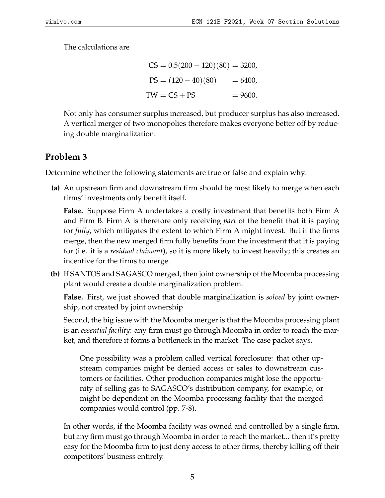The calculations are

$$
CS = 0.5(200 - 120)(80) = 3200,
$$
  
\n
$$
PS = (120 - 40)(80) = 6400,
$$
  
\n
$$
TW = CS + PS = 9600.
$$

Not only has consumer surplus increased, but producer surplus has also increased. A vertical merger of two monopolies therefore makes everyone better off by reducing double marginalization.

## **Problem 3**

Determine whether the following statements are true or false and explain why.

**(a)** An upstream firm and downstream firm should be most likely to merge when each firms' investments only benefit itself.

**False.** Suppose Firm A undertakes a costly investment that benefits both Firm A and Firm B. Firm A is therefore only receiving *part* of the benefit that it is paying for *fully*, which mitigates the extent to which Firm A might invest. But if the firms merge, then the new merged firm fully benefits from the investment that it is paying for (i.e. it is a *residual claimant*), so it is more likely to invest heavily; this creates an incentive for the firms to merge.

**(b)** If SANTOS and SAGASCO merged, then joint ownership of the Moomba processing plant would create a double marginalization problem.

**False.** First, we just showed that double marginalization is *solved* by joint ownership, not created by joint ownership.

Second, the big issue with the Moomba merger is that the Moomba processing plant is an *essential facility*: any firm must go through Moomba in order to reach the market, and therefore it forms a bottleneck in the market. The case packet says,

One possibility was a problem called vertical foreclosure: that other upstream companies might be denied access or sales to downstream customers or facilities. Other production companies might lose the opportunity of selling gas to SAGASCO's distribution company, for example, or might be dependent on the Moomba processing facility that the merged companies would control (pp. 7-8).

In other words, if the Moomba facility was owned and controlled by a single firm, but any firm must go through Moomba in order to reach the market... then it's pretty easy for the Moomba firm to just deny access to other firms, thereby killing off their competitors' business entirely.